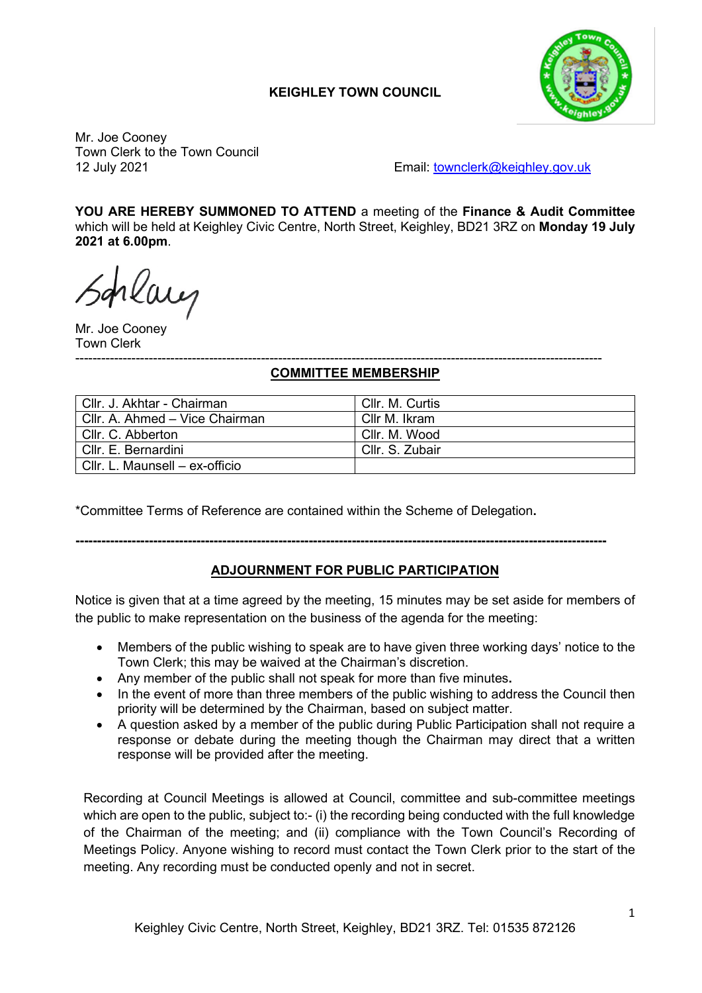## **KEIGHLEY TOWN COUNCIL**



Mr. Joe Cooney Town Clerk to the Town Council

12 July 2021 Email: [townclerk@keighley.gov.uk](mailto:townclerk@keighley.gov.uk)

**YOU ARE HEREBY SUMMONED TO ATTEND** a meeting of the **Finance & Audit Committee** which will be held at Keighley Civic Centre, North Street, Keighley, BD21 3RZ on **Monday 19 July 2021 at 6.00pm**.

hlaug

Mr. Joe Cooney Town Clerk

#### -------------------------------------------------------------------------------------------------------------------------- **COMMITTEE MEMBERSHIP**

| Cllr. J. Akhtar - Chairman     | CIIr. M. Curtis |
|--------------------------------|-----------------|
| Cllr. A. Ahmed - Vice Chairman | Cllr M. Ikram   |
| Cllr. C. Abberton              | Cllr. M. Wood   |
| Cllr. E. Bernardini            | Cllr. S. Zubair |
| Cllr. L. Maunsell – ex-officio |                 |

\*Committee Terms of Reference are contained within the Scheme of Delegation**.**

## **---------------------------------------------------------------------------------------------------------------------------**

## **ADJOURNMENT FOR PUBLIC PARTICIPATION**

Notice is given that at a time agreed by the meeting, 15 minutes may be set aside for members of the public to make representation on the business of the agenda for the meeting:

- Members of the public wishing to speak are to have given three working days' notice to the Town Clerk; this may be waived at the Chairman's discretion.
- Any member of the public shall not speak for more than five minutes**.**
- In the event of more than three members of the public wishing to address the Council then priority will be determined by the Chairman, based on subject matter.
- A question asked by a member of the public during Public Participation shall not require a response or debate during the meeting though the Chairman may direct that a written response will be provided after the meeting.

Recording at Council Meetings is allowed at Council, committee and sub-committee meetings which are open to the public, subject to:- (i) the recording being conducted with the full knowledge of the Chairman of the meeting; and (ii) compliance with the Town Council's Recording of Meetings Policy. Anyone wishing to record must contact the Town Clerk prior to the start of the meeting. Any recording must be conducted openly and not in secret.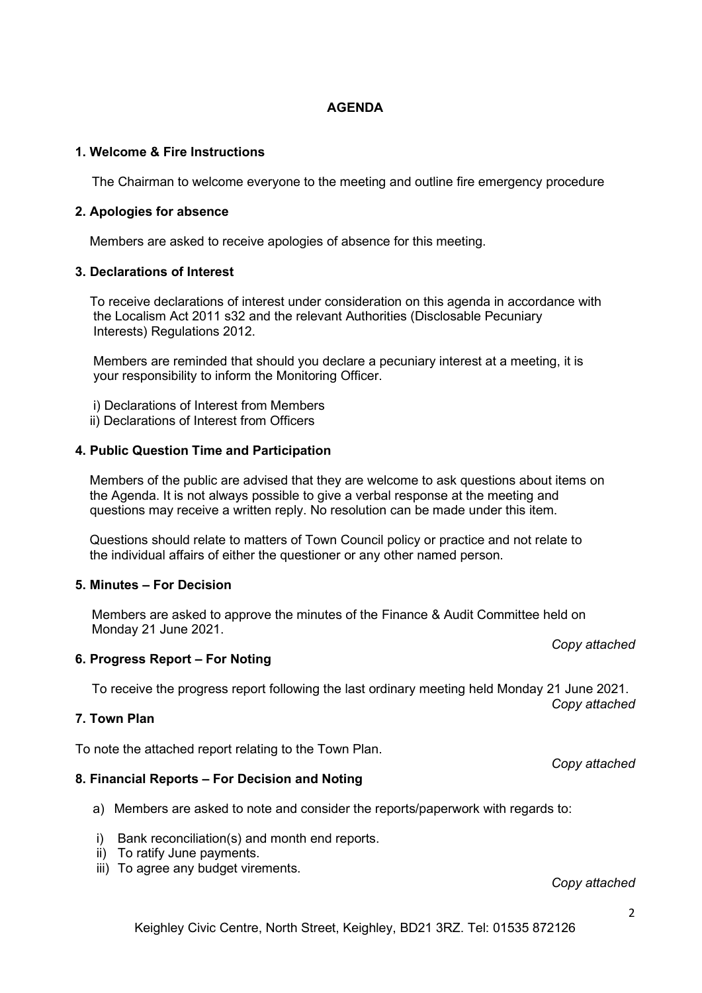### **AGENDA**

### **1. Welcome & Fire Instructions**

The Chairman to welcome everyone to the meeting and outline fire emergency procedure

### **2. Apologies for absence**

Members are asked to receive apologies of absence for this meeting.

#### **3. Declarations of Interest**

 To receive declarations of interest under consideration on this agenda in accordance with the Localism Act 2011 s32 and the relevant Authorities (Disclosable Pecuniary Interests) Regulations 2012.

 Members are reminded that should you declare a pecuniary interest at a meeting, it is your responsibility to inform the Monitoring Officer.

- i) Declarations of Interest from Members
- ii) Declarations of Interest from Officers

#### **4. Public Question Time and Participation**

 Members of the public are advised that they are welcome to ask questions about items on the Agenda. It is not always possible to give a verbal response at the meeting and questions may receive a written reply. No resolution can be made under this item.

 Questions should relate to matters of Town Council policy or practice and not relate to the individual affairs of either the questioner or any other named person.

### **5. Minutes – For Decision**

Members are asked to approve the minutes of the Finance & Audit Committee held on Monday 21 June 2021.

### **6. Progress Report – For Noting**

To receive the progress report following the last ordinary meeting held Monday 21 June 2021.

#### **7. Town Plan**

To note the attached report relating to the Town Plan.

#### **8. Financial Reports – For Decision and Noting**

- a) Members are asked to note and consider the reports/paperwork with regards to:
- i) Bank reconciliation(s) and month end reports.
- ii) To ratify June payments.
- iii) To agree any budget virements.

### *Copy attached*

#### *Copy attached*

*Copy attached*

*Copy attached*